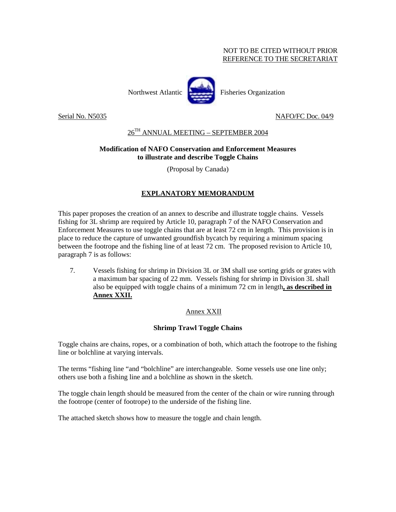#### NOT TO BE CITED WITHOUT PRIOR REFERENCE TO THE SECRETARIAT



Serial No. N5035 NAFO/FC Doc. 04/9

## 26TH ANNUAL MEETING – SEPTEMBER 2004

### **Modification of NAFO Conservation and Enforcement Measures to illustrate and describe Toggle Chains**

(Proposal by Canada)

# **EXPLANATORY MEMORANDUM**

This paper proposes the creation of an annex to describe and illustrate toggle chains. Vessels fishing for 3L shrimp are required by Article 10, paragraph 7 of the NAFO Conservation and Enforcement Measures to use toggle chains that are at least 72 cm in length. This provision is in place to reduce the capture of unwanted groundfish bycatch by requiring a minimum spacing between the footrope and the fishing line of at least 72 cm. The proposed revision to Article 10, paragraph 7 is as follows:

7. Vessels fishing for shrimp in Division 3L or 3M shall use sorting grids or grates with a maximum bar spacing of 22 mm. Vessels fishing for shrimp in Division 3L shall also be equipped with toggle chains of a minimum 72 cm in length**, as described in Annex XXII.**

## Annex XXII

## **Shrimp Trawl Toggle Chains**

Toggle chains are chains, ropes, or a combination of both, which attach the footrope to the fishing line or bolchline at varying intervals.

The terms "fishing line "and "bolchline" are interchangeable. Some vessels use one line only; others use both a fishing line and a bolchline as shown in the sketch.

The toggle chain length should be measured from the center of the chain or wire running through the footrope (center of footrope) to the underside of the fishing line.

The attached sketch shows how to measure the toggle and chain length.